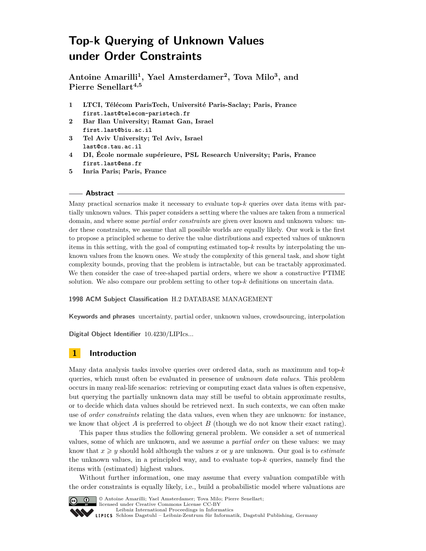# **Top-k Querying of Unknown Values under Order Constraints**

**Antoine Amarilli<sup>1</sup> , Yael Amsterdamer<sup>2</sup> , Tova Milo<sup>3</sup> , and Pierre Senellart4,5**

- **1 LTCI, Télécom ParisTech, Université Paris-Saclay; Paris, France first.last@telecom-paristech.fr**
- **2 Bar Ilan University; Ramat Gan, Israel first.last@biu.ac.il**
- **3 Tel Aviv University; Tel Aviv, Israel last@cs.tau.ac.il**
- **4 DI, École normale supérieure, PSL Research University; Paris, France first.last@ens.fr**
- **5 Inria Paris; Paris, France**

#### **Abstract**

Many practical scenarios make it necessary to evaluate top-*k* queries over data items with partially unknown values. This paper considers a setting where the values are taken from a numerical domain, and where some *partial order constraints* are given over known and unknown values: under these constraints, we assume that all possible worlds are equally likely. Our work is the first to propose a principled scheme to derive the value distributions and expected values of unknown items in this setting, with the goal of computing estimated top-*k* results by interpolating the unknown values from the known ones. We study the complexity of this general task, and show tight complexity bounds, proving that the problem is intractable, but can be tractably approximated. We then consider the case of tree-shaped partial orders, where we show a constructive PTIME solution. We also compare our problem setting to other top-*k* definitions on uncertain data.

#### **1998 ACM Subject Classification** H.2 DATABASE MANAGEMENT

**Keywords and phrases** uncertainty, partial order, unknown values, crowdsourcing, interpolation

**Digital Object Identifier** [10.4230/LIPIcs...](http://dx.doi.org/10.4230/LIPIcs...)

# **1 Introduction**

Many data analysis tasks involve queries over ordered data, such as maximum and top-*k* queries, which must often be evaluated in presence of *unknown data values*. This problem occurs in many real-life scenarios: retrieving or computing exact data values is often expensive, but querying the partially unknown data may still be useful to obtain approximate results, or to decide which data values should be retrieved next. In such contexts, we can often make use of *order constraints* relating the data values, even when they are unknown: for instance, we know that object  $A$  is preferred to object  $B$  (though we do not know their exact rating).

This paper thus studies the following general problem. We consider a set of numerical values, some of which are unknown, and we assume a *partial order* on these values: we may know that  $x \geq y$  should hold although the values x or y are unknown. Our goal is to *estimate* the unknown values, in a principled way, and to evaluate top-*k* queries, namely find the items with (estimated) highest values.

Without further information, one may assume that every valuation compatible with the order constraints is equally likely, i.e., build a probabilistic model where valuations are



© Antoine Amarilli; Yael Amsterdamer; Tova Milo; Pierre Senellart;

licensed under Creative Commons License CC-BY [Leibniz International Proceedings in Informatics](http://www.dagstuhl.de/lipics/)

[Schloss Dagstuhl – Leibniz-Zentrum für Informatik, Dagstuhl Publishing, Germany](http://www.dagstuhl.de)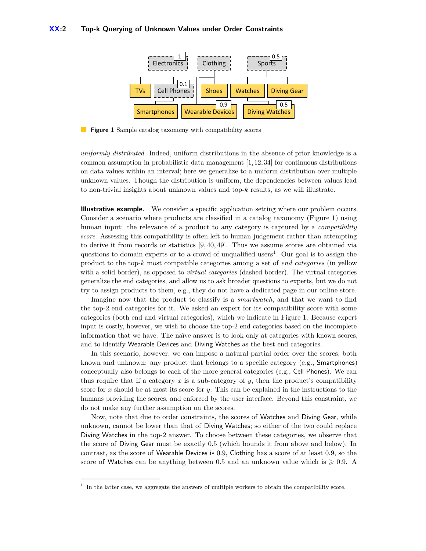<span id="page-1-0"></span>

**Figure 1** Sample catalog taxonomy with compatibility scores

*uniformly distributed*. Indeed, uniform distributions in the absence of prior knowledge is a common assumption in probabilistic data management  $[1, 12, 34]$  $[1, 12, 34]$  $[1, 12, 34]$  for continuous distributions on data values within an interval; here we generalize to a uniform distribution over multiple unknown values. Though the distribution is uniform, the dependencies between values lead to non-trivial insights about unknown values and top-*k* results, as we will illustrate.

**Illustrative example.** We consider a specific application setting where our problem occurs. Consider a scenario where products are classified in a catalog taxonomy (Figure [1\)](#page-1-0) using human input: the relevance of a product to any category is captured by a *compatibility score*. Assessing this compatibility is often left to human judgement rather than attempting to derive it from records or statistics [\[9,](#page-15-2) [40,](#page-16-1) [49\]](#page-17-0). Thus we assume scores are obtained via questions to domain experts or to a crowd of unqualified users<sup>[1](#page-1-1)</sup>. Our goal is to assign the product to the top-*k* most compatible categories among a set of *end categories* (in yellow with a solid border), as opposed to *virtual categories* (dashed border). The virtual categories generalize the end categories, and allow us to ask broader questions to experts, but we do not try to assign products to them, e.g., they do not have a dedicated page in our online store.

Imagine now that the product to classify is a *smartwatch*, and that we want to find the top-2 end categories for it. We asked an expert for its compatibility score with some categories (both end and virtual categories), which we indicate in Figure [1.](#page-1-0) Because expert input is costly, however, we wish to choose the top-2 end categories based on the incomplete information that we have. The naïve answer is to look only at categories with known scores, and to identify Wearable Devices and Diving Watches as the best end categories.

In this scenario, however, we can impose a natural partial order over the scores, both known and unknown: any product that belongs to a specific category (e.g., Smartphones) conceptually also belongs to each of the more general categories (e.g., Cell Phones). We can thus require that if a category  $x$  is a sub-category of  $y$ , then the product's compatibility score for *x* should be at most its score for *y*. This can be explained in the instructions to the humans providing the scores, and enforced by the user interface. Beyond this constraint, we do not make any further assumption on the scores.

Now, note that due to order constraints, the scores of Watches and Diving Gear, while unknown, cannot be lower than that of Diving Watches; so either of the two could replace Diving Watches in the top-2 answer. To choose between these categories, we observe that the score of Diving Gear must be exactly 0*.*5 (which bounds it from above and below). In contrast, as the score of Wearable Devices is 0*.*9, Clothing has a score of at least 0*.*9, so the score of Watches can be anything between 0.5 and an unknown value which is  $\geqslant 0.9$ . A

<span id="page-1-1"></span><sup>&</sup>lt;sup>1</sup> In the latter case, we aggregate the answers of multiple workers to obtain the compatibility score.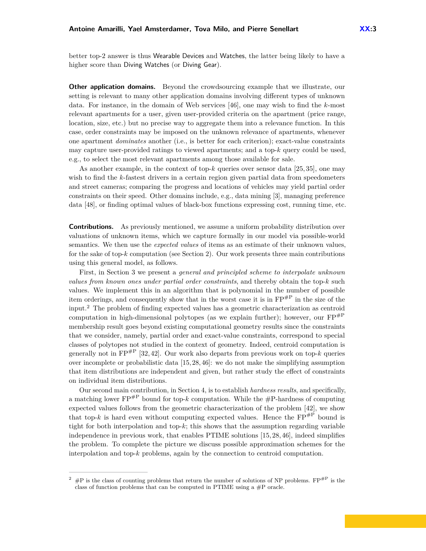better top-2 answer is thus Wearable Devices and Watches, the latter being likely to have a higher score than Diving Watches (or Diving Gear).

**Other application domains.** Beyond the crowdsourcing example that we illustrate, our setting is relevant to many other application domains involving different types of unknown data. For instance, in the domain of Web services [\[46\]](#page-17-1), one may wish to find the *k*-most relevant apartments for a user, given user-provided criteria on the apartment (price range, location, size, etc.) but no precise way to aggregate them into a relevance function. In this case, order constraints may be imposed on the unknown relevance of apartments, whenever one apartment *dominates* another (i.e., is better for each criterion); exact-value constraints may capture user-provided ratings to viewed apartments; and a top-*k* query could be used, e.g., to select the most relevant apartments among those available for sale.

As another example, in the context of top-*k* queries over sensor data [\[25,](#page-16-2) [35\]](#page-16-3), one may wish to find the *k*-fastest drivers in a certain region given partial data from speedometers and street cameras; comparing the progress and locations of vehicles may yield partial order constraints on their speed. Other domains include, e.g., data mining [\[3\]](#page-15-3), managing preference data [\[48\]](#page-17-2), or finding optimal values of black-box functions expressing cost, running time, etc.

**Contributions.** As previously mentioned, we assume a uniform probability distribution over valuations of unknown items, which we capture formally in our model via possible-world semantics. We then use the *expected values* of items as an estimate of their unknown values, for the sake of top- $k$  computation (see Section [2\)](#page-3-0). Our work presents three main contributions using this general model, as follows.

First, in Section [3](#page-5-0) we present a *general and principled scheme to interpolate unknown values from known ones under partial order constraints*, and thereby obtain the top-*k* such values. We implement this in an algorithm that is polynomial in the number of possible item orderings, and consequently show that in the worst case it is in  $\text{FP}^{\#P}$  in the size of the input.[2](#page-2-0) The problem of finding expected values has a geometric characterization as centroid computation in high-dimensional polytopes (as we explain further); however, our  $FP^{\#P}$ membership result goes beyond existing computational geometry results since the constraints that we consider, namely, partial order and exact-value constraints, correspond to special classes of polytopes not studied in the context of geometry. Indeed, centroid computation is generally not in  $\text{FP}^{\#P}$  [\[32,](#page-16-4) [42\]](#page-16-5). Our work also departs from previous work on top- $k$  queries over incomplete or probabilistic data  $[15, 28, 46]$  $[15, 28, 46]$  $[15, 28, 46]$ : we do not make the simplifying assumption that item distributions are independent and given, but rather study the effect of constraints on individual item distributions.

Our second main contribution, in Section [4,](#page-8-0) is to establish *hardness results*, and specifically, a matching lower  $\text{FP}^{\#P}$  bound for top-*k* computation. While the  $\#P$ -hardness of computing expected values follows from the geometric characterization of the problem [\[42\]](#page-16-5), we show that top- $k$  is hard even without computing expected values. Hence the  $\text{FP}^{\#P}$  bound is tight for both interpolation and top-*k*; this shows that the assumption regarding variable independence in previous work, that enables PTIME solutions [\[15,](#page-15-4) [28,](#page-16-6) [46\]](#page-17-1), indeed simplifies the problem. To complete the picture we discuss possible approximation schemes for the interpolation and top-*k* problems, again by the connection to centroid computation.

<span id="page-2-0"></span> $\#P$  is the class of counting problems that return the number of solutions of NP problems.  $FP^{HP}$  is the class of function problems that can be computed in PTIME using a  $\#P$  oracle.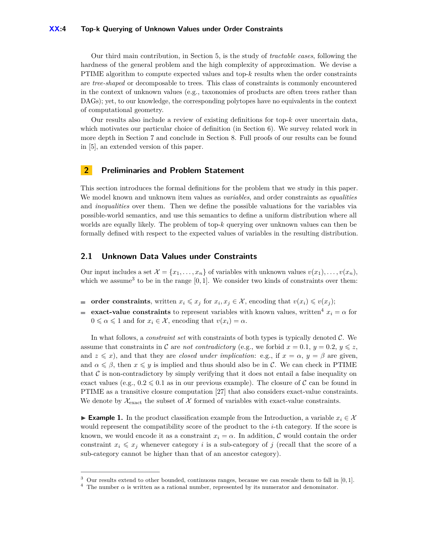#### **XX:4 Top-k Querying of Unknown Values under Order Constraints**

Our third main contribution, in Section [5,](#page-10-0) is the study of *tractable cases*, following the hardness of the general problem and the high complexity of approximation. We devise a PTIME algorithm to compute expected values and top-*k* results when the order constraints are *tree-shaped* or decomposable to trees. This class of constraints is commonly encountered in the context of unknown values (e.g., taxonomies of products are often trees rather than DAGs); yet, to our knowledge, the corresponding polytopes have no equivalents in the context of computational geometry.

Our results also include a review of existing definitions for top-*k* over uncertain data, which motivates our particular choice of definition (in Section [6\)](#page-12-0). We survey related work in more depth in Section [7](#page-13-0) and conclude in Section [8.](#page-14-0) Full proofs of our results can be found in [\[5\]](#page-15-5), an extended version of this paper.

## <span id="page-3-0"></span>**2 Preliminaries and Problem Statement**

This section introduces the formal definitions for the problem that we study in this paper. We model known and unknown item values as *variables*, and order constraints as *equalities* and *inequalities* over them. Then we define the possible valuations for the variables via possible-world semantics, and use this semantics to define a uniform distribution where all worlds are equally likely. The problem of top-*k* querying over unknown values can then be formally defined with respect to the expected values of variables in the resulting distribution.

## **2.1 Unknown Data Values under Constraints**

Our input includes a set  $\mathcal{X} = \{x_1, \ldots, x_n\}$  of variables with unknown values  $v(x_1), \ldots, v(x_n)$ , which we assume<sup>[3](#page-3-1)</sup> to be in the range  $[0, 1]$ . We consider two kinds of constraints over them:

- **order constraints**, written  $x_i \leq x_j$  for  $x_i, x_j \in \mathcal{X}$ , encoding that  $v(x_i) \leq v(x_j)$ ; m.
- **exact-value constraints** to represent variables with known values, written<sup>[4](#page-3-2)</sup>  $x_i = \alpha$  for  $0 \le \alpha \le 1$  and for  $x_i \in \mathcal{X}$ , encoding that  $v(x_i) = \alpha$ .

In what follows, a *constraint set* with constraints of both types is typically denoted C. We assume that constraints in C are *not contradictory* (e.g., we forbid  $x = 0.1$ ,  $y = 0.2$ ,  $y \leq z$ , and  $z \leq x$ , and that they are *closed under implication*: e.g., if  $x = \alpha$ ,  $y = \beta$  are given, and  $\alpha \leq \beta$ , then  $x \leq y$  is implied and thus should also be in C. We can check in PTIME that  $\mathcal C$  is non-contradictory by simply verifying that it does not entail a false inequality on exact values (e.g.,  $0.2 \le 0.1$  as in our previous example). The closure of C can be found in PTIME as a transitive closure computation [\[27\]](#page-16-7) that also considers exact-value constraints. We denote by  $\mathcal{X}_{\text{exact}}$  the subset of  $\mathcal X$  formed of variables with exact-value constraints.

**Example 1.** In the product classification example from the Introduction, a variable  $x_i \in \mathcal{X}$ would represent the compatibility score of the product to the *i*-th category. If the score is known, we would encode it as a constraint  $x_i = \alpha$ . In addition, C would contain the order constraint  $x_i \leq x_j$  whenever category *i* is a sub-category of *j* (recall that the score of a sub-category cannot be higher than that of an ancestor category).

<span id="page-3-1"></span><sup>3</sup> Our results extend to other bounded, continuous ranges, because we can rescale them to fall in [0*,* 1].

<span id="page-3-2"></span><sup>&</sup>lt;sup>4</sup> The number  $\alpha$  is written as a rational number, represented by its numerator and denominator.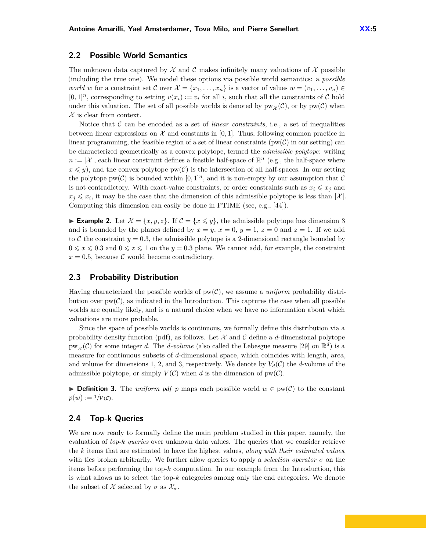## **2.2 Possible World Semantics**

The unknown data captured by  $\mathcal X$  and  $\mathcal C$  makes infinitely many valuations of  $\mathcal X$  possible (including the true one). We model these options via possible world semantics: a *possible world w* for a constraint set C over  $\mathcal{X} = \{x_1, \ldots, x_n\}$  is a vector of values  $w = (v_1, \ldots, v_n) \in$  $[0,1]^n$ , corresponding to setting  $v(x_i) := v_i$  for all *i*, such that all the constraints of C hold under this valuation. The set of all possible worlds is denoted by  $pw_{\mathcal{X}}(\mathcal{C})$ , or by  $pw(\mathcal{C})$  when  $\mathcal X$  is clear from context.

Notice that C can be encoded as a set of *linear constraints*, i.e., a set of inequalities between linear expressions on  $\mathcal X$  and constants in [0, 1]. Thus, following common practice in linear programming, the feasible region of a set of linear constraints ( $pw(\mathcal{C})$ ) in our setting) can be characterized geometrically as a convex polytope, termed the *admissible polytope*: writing  $n := |\mathcal{X}|$ , each linear constraint defines a feasible half-space of  $\mathbb{R}^n$  (e.g., the half-space where  $x \leq y$ , and the convex polytope pw(C) is the intersection of all half-spaces. In our setting the polytope  $pw(C)$  is bounded within  $[0,1]^n$ , and it is non-empty by our assumption that C is not contradictory. With exact-value constraints, or order constraints such as  $x_i \leq x_j$  and  $x_j \leq x_i$ , it may be the case that the dimension of this admissible polytope is less than  $|\mathcal{X}|$ . Computing this dimension can easily be done in PTIME (see, e.g., [\[44\]](#page-17-3)).

**Example 2.** Let  $\mathcal{X} = \{x, y, z\}$ . If  $\mathcal{C} = \{x \leq y\}$ , the admissible polytope has dimension 3 and is bounded by the planes defined by  $x = y$ ,  $x = 0$ ,  $y = 1$ ,  $z = 0$  and  $z = 1$ . If we add to  $C$  the constraint  $y = 0.3$ , the admissible polytope is a 2-dimensional rectangle bounded by  $0 \leqslant x \leqslant 0.3$  and  $0 \leqslant z \leqslant 1$  on the  $y = 0.3$  plane. We cannot add, for example, the constraint  $x = 0.5$ , because C would become contradictory.

#### **2.3 Probability Distribution**

Having characterized the possible worlds of pw(C), we assume a *uniform* probability distribution over  $pw(\mathcal{C})$ , as indicated in the Introduction. This captures the case when all possible worlds are equally likely, and is a natural choice when we have no information about which valuations are more probable.

Since the space of possible worlds is continuous, we formally define this distribution via a probability density function (pdf), as follows. Let  $\mathcal X$  and  $\mathcal C$  define a *d*-dimensional polytope  $pw_{\mathcal{X}}(\mathcal{C})$  for some integer *d*. The *d-volume* (also called the Lebesgue measure [\[29\]](#page-16-8) on  $\mathbb{R}^d$ ) is a measure for continuous subsets of *d*-dimensional space, which coincides with length, area, and volume for dimensions 1, 2, and 3, respectively. We denote by  $V_d(\mathcal{C})$  the *d*-volume of the admissible polytope, or simply  $V(C)$  when *d* is the dimension of  $pw(C)$ .

**► Definition 3.** The *uniform pdf p* maps each possible world  $w \in pw(C)$  to the constant  $p(w) := \frac{1}{V(\mathcal{C})}$ .

#### <span id="page-4-0"></span>**2.4 Top-k Queries**

We are now ready to formally define the main problem studied in this paper, namely, the evaluation of *top-k queries* over unknown data values. The queries that we consider retrieve the *k* items that are estimated to have the highest values, *along with their estimated values*, with ties broken arbitrarily. We further allow queries to apply a *selection operator*  $\sigma$  on the items before performing the top- $k$  computation. In our example from the Introduction, this is what allows us to select the top-*k* categories among only the end categories. We denote the subset of  $X$  selected by  $\sigma$  as  $\mathcal{X}_{\sigma}$ .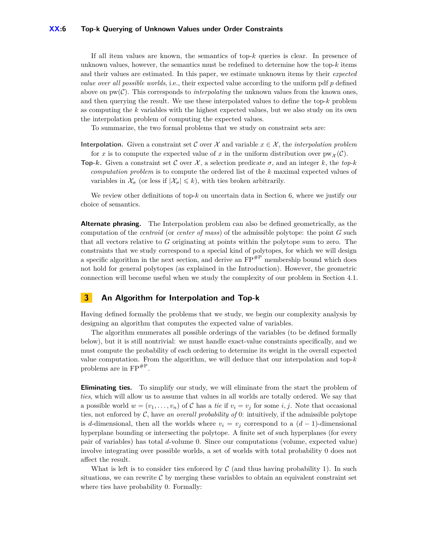If all item values are known, the semantics of top-*k* queries is clear. In presence of unknown values, however, the semantics must be redefined to determine how the top-*k* items and their values are estimated. In this paper, we estimate unknown items by their *expected value over all possible worlds*, i.e., their expected value according to the uniform pdf *p* defined above on  $pw(C)$ . This corresponds to *interpolating* the unknown values from the known ones, and then querying the result. We use these interpolated values to define the top-*k* problem as computing the *k* variables with the highest expected values, but we also study on its own the interpolation problem of computing the expected values.

To summarize, the two formal problems that we study on constraint sets are:

- **Interpolation.** Given a constraint set C over X and variable  $x \in \mathcal{X}$ , the *interpolation problem* for *x* is to compute the expected value of *x* in the uniform distribution over  $pw_{\mathcal{X}}(\mathcal{C})$ .
- **Top-***k***.** Given a constraint set C over  $\mathcal{X}$ , a selection predicate  $\sigma$ , and an integer *k*, the *top-k computation problem* is to compute the ordered list of the *k* maximal expected values of variables in  $\mathcal{X}_{\sigma}$  (or less if  $|\mathcal{X}_{\sigma}| \leq k$ ), with ties broken arbitrarily.

We review other definitions of top-*k* on uncertain data in Section [6,](#page-12-0) where we justify our choice of semantics.

**Alternate phrasing.** The Interpolation problem can also be defined geometrically, as the computation of the *centroid* (or *center of mass*) of the admissible polytope: the point *G* such that all vectors relative to *G* originating at points within the polytope sum to zero. The constraints that we study correspond to a special kind of polytopes, for which we will design a specific algorithm in the next section, and derive an  $\text{FP}^{\#P}$  membership bound which does not hold for general polytopes (as explained in the Introduction). However, the geometric connection will become useful when we study the complexity of our problem in Section [4.1.](#page-8-1)

# <span id="page-5-0"></span>**3 An Algorithm for Interpolation and Top-k**

Having defined formally the problems that we study, we begin our complexity analysis by designing an algorithm that computes the expected value of variables.

The algorithm enumerates all possible orderings of the variables (to be defined formally below), but it is still nontrivial: we must handle exact-value constraints specifically, and we must compute the probability of each ordering to determine its weight in the overall expected value computation. From the algorithm, we will deduce that our interpolation and top-*k* problems are in FP#P .

**Eliminating ties.** To simplify our study, we will eliminate from the start the problem of *ties*, which will allow us to assume that values in all worlds are totally ordered. We say that a possible world  $w = (v_1, \ldots, v_n)$  of C has a *tie* if  $v_i = v_j$  for some *i, j*. Note that occasional ties, not enforced by  $C$ , have an overall probability of 0: intuitively, if the admissible polytope is *d*-dimensional, then all the worlds where  $v_i = v_j$  correspond to a  $(d-1)$ -dimensional hyperplane bounding or intersecting the polytope. A finite set of such hyperplanes (for every pair of variables) has total *d*-volume 0. Since our computations (volume, expected value) involve integrating over possible worlds, a set of worlds with total probability 0 does not affect the result.

What is left is to consider ties enforced by  $\mathcal C$  (and thus having probability 1). In such situations, we can rewrite  $C$  by merging these variables to obtain an equivalent constraint set where ties have probability 0. Formally: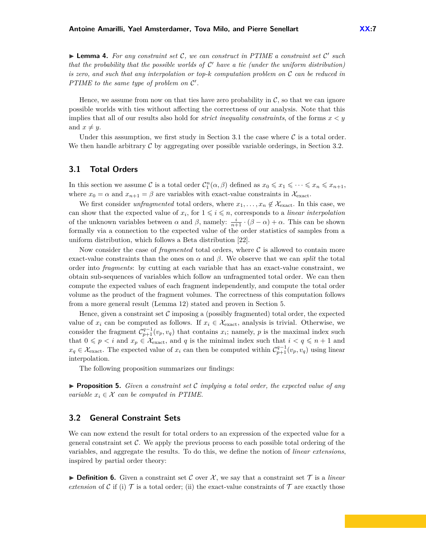<span id="page-6-2"></span>▶ Lemma 4. For any constraint set C, we can construct in PTIME a constraint set C' such that the probability that the possible worlds of  $\mathcal{C}'$  have a tie (under the uniform distribution) *is zero, and such that any interpolation or top-k computation problem on* C *can be reduced in PTIME to the same type of problem on*  $\mathcal{C}'$ *.* 

Hence, we assume from now on that ties have zero probability in  $\mathcal{C}$ , so that we can ignore possible worlds with ties without affecting the correctness of our analysis. Note that this implies that all of our results also hold for *strict inequality constraints*, of the forms  $x < y$ and  $x \neq y$ .

Under this assumption, we first study in Section [3.1](#page-6-0) the case where  $\mathcal C$  is a total order. We then handle arbitrary  $\mathcal C$  by aggregating over possible variable orderings, in Section [3.2.](#page-6-1)

## <span id="page-6-0"></span>**3.1 Total Orders**

In this section we assume C is a total order  $C_1^n(\alpha, \beta)$  defined as  $x_0 \leq x_1 \leq \cdots \leq x_n \leq x_{n+1}$ , where  $x_0 = \alpha$  and  $x_{n+1} = \beta$  are variables with exact-value constraints in  $\mathcal{X}_{\text{exact}}$ .

We first consider *unfragmented* total orders, where  $x_1, \ldots, x_n \notin \mathcal{X}_{\text{exact}}$ . In this case, we can show that the expected value of  $x_i$ , for  $1 \leq i \leq n$ , corresponds to a *linear interpolation* of the unknown variables between  $\alpha$  and  $\beta$ , namely:  $\frac{i}{n+1} \cdot (\beta - \alpha) + \alpha$ . This can be shown formally via a connection to the expected value of the order statistics of samples from a uniform distribution, which follows a Beta distribution [\[22\]](#page-16-9).

Now consider the case of *fragmented* total orders, where  $\mathcal C$  is allowed to contain more exact-value constraints than the ones on  $\alpha$  and  $\beta$ . We observe that we can *split* the total order into *fragments*: by cutting at each variable that has an exact-value constraint, we obtain sub-sequences of variables which follow an unfragmented total order. We can then compute the expected values of each fragment independently, and compute the total order volume as the product of the fragment volumes. The correctness of this computation follows from a more general result (Lemma [12\)](#page-10-1) stated and proven in Section [5.](#page-10-0)

Hence, given a constraint set  $\mathcal C$  imposing a (possibly fragmented) total order, the expected value of  $x_i$  can be computed as follows. If  $x_i \in \mathcal{X}_{\text{exact}}$ , analysis is trivial. Otherwise, we consider the fragment  $C_{p+1}^{q-1}(v_p, v_q)$  that contains  $x_i$ ; namely,  $p$  is the maximal index such that  $0 \leq p \leq i$  and  $x_p \in \mathcal{X}_{\text{exact}}$ , and q is the minimal index such that  $i < q \leq n+1$  and  $x_q \in \mathcal{X}_{\text{exact}}$ . The expected value of  $x_i$  can then be computed within  $\mathcal{C}_{p+1}^{q-1}(v_p, v_q)$  using linear interpolation.

The following proposition summarizes our findings:

**Proposition 5.** *Given a constraint set*  $C$  *implying a total order, the expected value of any variable*  $x_i \in \mathcal{X}$  *can be computed in PTIME.* 

#### <span id="page-6-1"></span>**3.2 General Constraint Sets**

We can now extend the result for total orders to an expression of the expected value for a general constraint set  $\mathcal{C}$ . We apply the previous process to each possible total ordering of the variables, and aggregate the results. To do this, we define the notion of *linear extensions*, inspired by partial order theory:

**Definition 6.** Given a constraint set C over X, we say that a constraint set  $\mathcal{T}$  is a *linear extension* of C if (i)  $\mathcal T$  is a total order; (ii) the exact-value constraints of  $\mathcal T$  are exactly those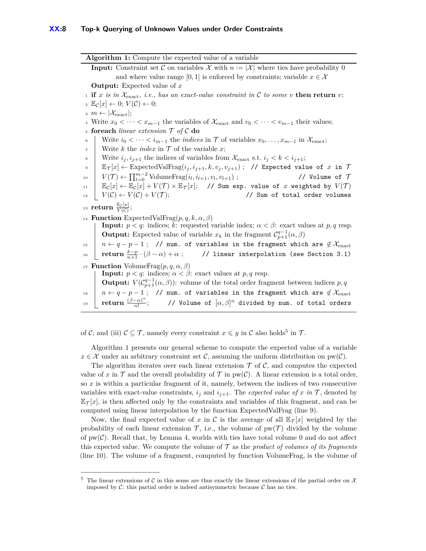<span id="page-7-3"></span><span id="page-7-2"></span>**Algorithm 1:** Compute the expected value of a variable **Input:** Constraint set C on variables X with  $n := |\mathcal{X}|$  where ties have probability 0 and where value range [0, 1] is enforced by constraints; variable  $x \in \mathcal{X}$ **Output:** Expected value of *x* 1 **if**  $x$  is in  $\mathcal{X}_{\text{exact}}$ , *i.e.*, has an exact-value constraint in C to some v **then return**  $v$ ;  $\mathbb{E}_{\mathcal{C}}[x] \leftarrow 0; V(\mathcal{C}) \leftarrow 0;$  $\alpha$  *m*  $\leftarrow |\mathcal{X}_{\text{exact}}|$ ; 4 Write  $x_0$  *<* · · · *< x<sub>m−1</sub>* the variables of  $\mathcal{X}_{\text{exact}}$  and  $v_0$  *<* · · · *< v<sub>m−1</sub>* their values; <sup>5</sup> **foreach** *linear extension* T *of* C **do** 6 Write  $i_0 < \cdots < i_{m-1}$  the *indices* in  $\mathcal T$  of variables  $x_0, \ldots, x_{m-1}$  in  $\mathcal X_{\text{exact}}$ ;  $\tau$  Write *k* the *index* in  $\tau$  of the variable *x*; 8 Write  $i_j, i_{j+1}$  the indices of variables from  $\mathcal{X}_{\text{exact}}$  s.t.  $i_j < k < i_{j+1}$ ;  $\mathbb{E}_{\mathcal{T}}[x] \leftarrow \text{ExpectedValFrag}(i_j, i_{j+1}, k, v_j, v_{j+1})$ ; // Expected value of  $x$  in  $\mathcal{T}$  $V(T)$  ←  $\prod_{l=0}^{m-2}$  VolumeFrag $(i_l, i_{l+1}, v_l)$  $\frac{1}{\sqrt{2}}$  Volume of  $\tau$  $\mathbb{E}_{\mathcal{C}}[x] \leftarrow \mathbb{E}_{\mathcal{C}}[x] + V(\mathcal{T}) \times \mathbb{E}_{\mathcal{T}}[x];$  // Sum exp. value of  $x$  weighted by  $V(\mathcal{T})$  $V(\mathcal{C}) \leftarrow V(\mathcal{C}) + V(\mathcal{T}); \hspace{2.6cm} \text{\textcolor{blue}{\textbf{77}}\textbf{12}} \text{ and } V(\mathcal{C}) \leftarrow V(\mathcal{C}) + V(\mathcal{T}) \text{,}$ 13 **return**  $\frac{\mathbb{E}_{\mathcal{C}}[x]}{V(\mathcal{C})}$ ; <sup>14</sup> **Function** ExpectedValFrag $(p, q, k, \alpha, \beta)$ **Input:**  $p < q$ : indices; *k*: requested variable index;  $\alpha < \beta$ : exact values at  $p, q$  resp. **Output:** Expected value of variable  $x_k$  in the fragment  $C_{p+1}^{q-1}(\alpha, \beta)$ 15 *n* ←  $q - p - 1$ ; // num. of variables in the fragment which are  $\notin \mathcal{X}_{\text{exact}}$  $r_{16}$  **return**  $\frac{k-p}{n+1} \cdot (\beta - \alpha) + \alpha$ ; // linear interpolation (see Section [3.1\)](#page-6-0) <sup>17</sup> **Function** VolumeFrag(*p, q, α, β*) **Input:**  $p < q$ : indices;  $\alpha < \beta$ : exact values at  $p, q$  resp. **Output:**  $V(C_{p+1}^{q-1}(\alpha, \beta))$ : volume of the total order fragment between indices *p*, *q* 18 *n* ←  $q - p - 1$ ; // num. of variables in the fragment which are  $\notin \mathcal{X}_{\text{exact}}$ <sup>19</sup> **return** (*β*−*α*) *n n*! ;  $\qquad$  // Volume of  $[\alpha, \beta]^n$  divided by num. of total orders

<span id="page-7-4"></span><span id="page-7-1"></span>of C; and (iii)  $C \subseteq \mathcal{T}$ , namely every constraint  $x \leq y$  in C also holds<sup>[5](#page-7-0)</sup> in  $\mathcal{T}$ .

Algorithm [1](#page-7-1) presents our general scheme to compute the expected value of a variable  $x \in \mathcal{X}$  under an arbitrary constraint set C, assuming the uniform distribution on  $pw(\mathcal{C})$ .

The algorithm iterates over each linear extension  $\mathcal T$  of  $\mathcal C$ , and computes the expected value of x in  $\mathcal T$  and the overall probability of  $\mathcal T$  in pw(C). A linear extension is a total order, so *x* is within a particular fragment of it, namely, between the indices of two consecutive variables with exact-value constraints,  $i_j$  and  $i_{j+1}$ . The *expected value of x in*  $\mathcal{T}$ , denoted by  $\mathbb{E}_{\mathcal{T}}[x]$ , is then affected only by the constraints and variables of this fragment, and can be computed using linear interpolation by the function ExpectedValFrag (line [9\)](#page-7-2).

Now, the final expected value of x in C is the average of all  $\mathbb{E}_{\mathcal{T}}[x]$  weighted by the probability of each linear extension  $\mathcal T$ , i.e., the volume of  $pw(\mathcal T)$  divided by the volume of  $pw(\mathcal{C})$ . Recall that, by Lemma [4,](#page-6-2) worlds with ties have total volume 0 and do not affect this expected value. We compute the volume of T as the *product of volumes of its fragments* (line [10\)](#page-7-3). The volume of a fragment, computed by function VolumeFrag, is the volume of

<span id="page-7-0"></span><sup>&</sup>lt;sup>5</sup> The linear extensions of C in this sense are thus exactly the linear extensions of the partial order on  $\mathcal X$ imposed by  $\mathcal{C}$ : this partial order is indeed antisymmetric because  $\mathcal{C}$  has no ties.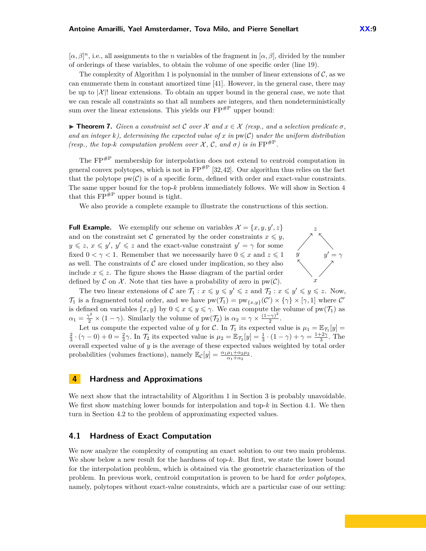$[\alpha, \beta]^n$ , i.e., all assignments to the *n* variables of the fragment in  $[\alpha, \beta]$ , divided by the number of orderings of these variables, to obtain the volume of one specific order (line [19\)](#page-7-4).

The complexity of Algorithm [1](#page-7-1) is polynomial in the number of linear extensions of  $\mathcal{C}$ , as we can enumerate them in constant amortized time [\[41\]](#page-16-10). However, in the general case, there may be up to  $|\mathcal{X}|$ ! linear extensions. To obtain an upper bound in the general case, we note that we can rescale all constraints so that all numbers are integers, and then nondeterministically sum over the linear extensions. This yields our  $\text{FP}^{\#P}$  upper bound:

<span id="page-8-2"></span> $\triangleright$  **Theorem 7.** *Given a constraint set C over* X *and*  $x \in \mathcal{X}$  (resp., and a selection predicate σ, and an integer  $k$ , determining the expected value of x in  $pw(C)$  under the uniform distribution *(resp., the top-k computation problem over*  $X$ ,  $C$ , and  $\sigma$ ) is in  $FP^{\#P}$ .

The FP#P membership for interpolation does not extend to centroid computation in general convex polytopes, which is not in  $FP^{HP}$  [\[32,](#page-16-4)[42\]](#page-16-5). Our algorithm thus relies on the fact that the polytope  $pw(\mathcal{C})$  is of a specific form, defined with order and exact-value constraints. The same upper bound for the top-*k* problem immediately follows. We will show in Section [4](#page-8-0) that this  $FP^{\#P}$  upper bound is tight.

We also provide a complete example to illustrate the constructions of this section.

**Full Example.** We exemplify our scheme on variables  $\mathcal{X} = \{x, y, y', z\}$   $z$ and on the constraint set C generated by the order constraints  $x \leq y$ ,  $y \leq z, x \leq y', y' \leq z$  and the exact-value constraint  $y' = \gamma$  for some fixed  $0 < \gamma < 1$ . Remember that we necessarily have  $0 \leq x$  and  $z \leq 1$ as well. The constraints of  $\mathcal C$  are closed under implication, so they also include  $x \leq z$ . The figure shows the Hasse diagram of the partial order defined by C on X. Note that ties have a probability of zero in  $pw(\mathcal{C})$ .



The two linear extensions of C are  $\mathcal{T}_1: x \leq y \leq y' \leq z$  and  $\mathcal{T}_2: x \leq y' \leq y \leq z$ . Now, T<sub>1</sub> is a fragmented total order, and we have  $pw(\mathcal{T}_1) = pw_{\{x,y\}}(\mathcal{C}') \times \{\gamma\} \times [\gamma,1]$  where  $\mathcal{C}'$ is defined on variables  $\{x, y\}$  by  $0 \leq x \leq y \leq \gamma$ . We can compute the volume of  $pw(\mathcal{T}_1)$  as  $\alpha_1 = \frac{\gamma^2}{2} \times (1 - \gamma)$ . Similarly the volume of pw( $\mathcal{T}_2$ ) is  $\alpha_2 = \gamma \times \frac{(1 - \gamma)^2}{2}$  $\frac{(-\gamma)}{2}$ .

Let us compute the expected value of *y* for C. In  $\mathcal{T}_1$  its expected value is  $\mu_1 = \mathbb{E}_{\mathcal{T}_1}[y] =$  $\frac{2}{3} \cdot (\gamma - 0) + 0 = \frac{2}{3}\gamma$ . In  $\mathcal{T}_2$  its expected value is  $\mu_2 = \mathbb{E}_{\mathcal{T}_2}[y] = \frac{1}{3} \cdot (1 - \gamma) + \gamma = \frac{1+2\gamma}{3}$ . The overall expected value of *y* is the average of these expected values weighted by total order probabilities (volumes fractions), namely  $\mathbb{E}_{\mathcal{C}}[y] = \frac{\alpha_1 \mu_1 + \alpha_2 \mu_2}{\alpha_1 + \alpha_2}$ .

#### <span id="page-8-0"></span>**4 Hardness and Approximations**

We next show that the intractability of Algorithm [1](#page-7-1) in Section [3](#page-5-0) is probably unavoidable. We first show matching lower bounds for interpolation and top-*k* in Section [4.1.](#page-8-1) We then turn in Section [4.2](#page-9-0) to the problem of approximating expected values.

#### <span id="page-8-1"></span>**4.1 Hardness of Exact Computation**

We now analyze the complexity of computing an exact solution to our two main problems. We show below a new result for the hardness of top-*k*. But first, we state the lower bound for the interpolation problem, which is obtained via the geometric characterization of the problem. In previous work, centroid computation is proven to be hard for *order polytopes*, namely, polytopes without exact-value constraints, which are a particular case of our setting: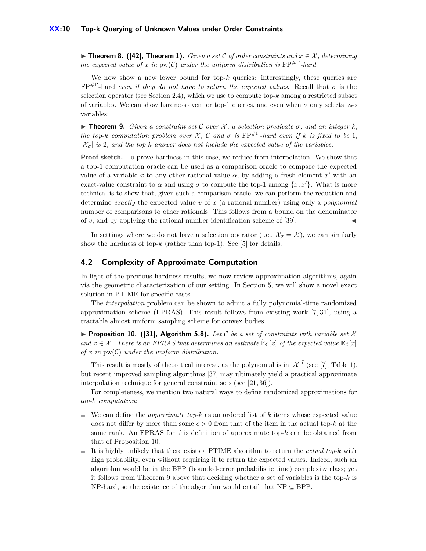**► Theorem 8. ([\[42\]](#page-16-5), Theorem 1).** *Given a set*  $C$  *of order constraints and*  $x \in \mathcal{X}$ *, determining the expected value of x in*  $pw(C)$  *under the uniform distribution is*  $FP^{\#P}$ *-hard.* 

We now show a new lower bound for top- $k$  queries: interestingly, these queries are  $FP^{\#P}$ -hard *even if they do not have to return the expected values*. Recall that  $\sigma$  is the selection operator (see Section [2.4\)](#page-4-0), which we use to compute top-*k* among a restricted subset of variables. We can show hardness even for top-1 queries, and even when  $\sigma$  only selects two variables:

<span id="page-9-2"></span>**In Theorem 9.** *Given a constraint set* C *over*  $\mathcal{X}$ *, a selection predicate*  $\sigma$ *, and an integer*  $k$ *, the top-k computation problem over*  $\mathcal{X}$ ,  $\mathcal{C}$  *and*  $\sigma$  *is*  $\text{FP}^{\#P}$ *-hard even if*  $k$  *is fixed to be* 1*,*  $|\mathcal{X}_{\sigma}|$  *is* 2*, and the top-k answer does not include the expected value of the variables.* 

**Proof sketch.** To prove hardness in this case, we reduce from interpolation. We show that a top-1 computation oracle can be used as a comparison oracle to compare the expected value of a variable x to any other rational value  $\alpha$ , by adding a fresh element  $x'$  with an exact-value constraint to  $\alpha$  and using  $\sigma$  to compute the top-1 among  $\{x, x'\}$ . What is more technical is to show that, given such a comparison oracle, we can perform the reduction and determine *exactly* the expected value *v* of *x* (a rational number) using only a *polynomial* number of comparisons to other rationals. This follows from a bound on the denominator of  $v$ , and by applying the rational number identification scheme of  $[39]$ .

In settings where we do not have a selection operator (i.e.,  $\mathcal{X}_{\sigma} = \mathcal{X}$ ), we can similarly show the hardness of top- $k$  (rather than top-1). See [\[5\]](#page-15-5) for details.

#### <span id="page-9-0"></span>**4.2 Complexity of Approximate Computation**

In light of the previous hardness results, we now review approximation algorithms, again via the geometric characterization of our setting. In Section [5,](#page-10-0) we will show a novel exact solution in PTIME for specific cases.

The *interpolation* problem can be shown to admit a fully polynomial-time randomized approximation scheme (FPRAS). This result follows from existing work [\[7,](#page-15-6) [31\]](#page-16-12), using a tractable almost uniform sampling scheme for convex bodies.

<span id="page-9-1"></span>**Proposition 10. ([\[31\]](#page-16-12), Algorithm 5.8).** Let C be a set of constraints with variable set X and  $x \in \mathcal{X}$ . There is an FPRAS that determines an estimate  $\mathbb{E}_{\mathcal{C}}[x]$  of the expected value  $\mathbb{E}_{\mathcal{C}}[x]$ *of x in* pw(C) *under the uniform distribution.*

This result is mostly of theoretical interest, as the polynomial is in  $|\mathcal{X}|^7$  (see [\[7\]](#page-15-6), Table 1), but recent improved sampling algorithms [\[37\]](#page-16-13) may ultimately yield a practical approximate interpolation technique for general constraint sets (see [\[21,](#page-16-14) [36\]](#page-16-15)).

For completeness, we mention two natural ways to define randomized approximations for *top-k computation*:

- We can define the *approximate top-k* as an ordered list of *k* items whose expected value does not differ by more than some  $\epsilon > 0$  from that of the item in the actual top-k at the same rank. An FPRAS for this definition of approximate top-*k* can be obtained from that of Proposition [10.](#page-9-1)
- It is highly unlikely that there exists a PTIME algorithm to return the *actual top-k* with m. high probability, even without requiring it to return the expected values. Indeed, such an algorithm would be in the BPP (bounded-error probabilistic time) complexity class; yet it follows from Theorem [9](#page-9-2) above that deciding whether a set of variables is the top-*k* is NP-hard, so the existence of the algorithm would entail that  $NP \subseteq BPP$ .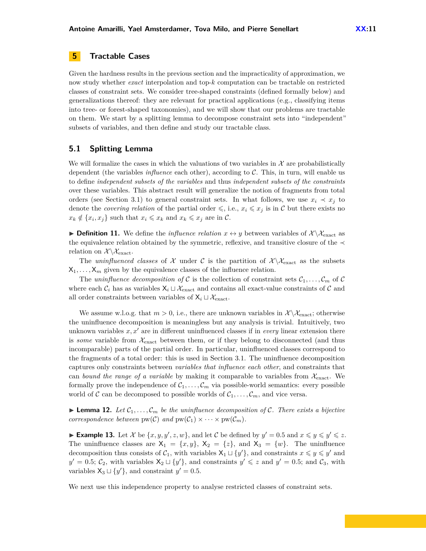## <span id="page-10-0"></span>**5 Tractable Cases**

Given the hardness results in the previous section and the impracticality of approximation, we now study whether *exact* interpolation and top-*k* computation can be tractable on restricted classes of constraint sets. We consider tree-shaped constraints (defined formally below) and generalizations thereof: they are relevant for practical applications (e.g., classifying items into tree- or forest-shaped taxonomies), and we will show that our problems are tractable on them. We start by a splitting lemma to decompose constraint sets into "independent" subsets of variables, and then define and study our tractable class.

## **5.1 Splitting Lemma**

We will formalize the cases in which the valuations of two variables in  $\mathcal X$  are probabilistically dependent (the variables *influence* each other), according to C. This, in turn, will enable us to define *independent subsets of the variables* and thus *independent subsets of the constraints* over these variables. This abstract result will generalize the notion of fragments from total orders (see Section [3.1\)](#page-6-0) to general constraint sets. In what follows, we use  $x_i \prec x_j$  to denote the *covering relation* of the partial order  $\leq$ , i.e.,  $x_i \leq x_j$  is in C but there exists no  $x_k \notin \{x_i, x_j\}$  such that  $x_i \leq x_k$  and  $x_k \leq x_j$  are in C.

**Definition 11.** We define the *influence relation*  $x \leftrightarrow y$  between variables of  $\mathcal{X} \setminus \mathcal{X}_{\text{exact}}$  as the equivalence relation obtained by the symmetric, reflexive, and transitive closure of the  $\prec$ relation on  $\mathcal{X}\backslash\mathcal{X}_{\text{exact}}$ .

The *uninfluenced classes* of X under C is the partition of  $\mathcal{X}\setminus\mathcal{X}_{\text{exact}}$  as the subsets  $X_1, \ldots, X_m$  given by the equivalence classes of the influence relation.

The *uninfluence decomposition of* C is the collection of constraint sets  $C_1, \ldots, C_m$  of C where each  $C_i$  has as variables  $X_i \sqcup \mathcal{X}_{\text{exact}}$  and contains all exact-value constraints of C and all order constraints between variables of  $X_i \sqcup \mathcal{X}_{\text{exact}}$ .

We assume w.l.o.g. that  $m > 0$ , i.e., there are unknown variables in  $\mathcal{X} \setminus \mathcal{X}_{\text{exact}}$ ; otherwise the uninfluence decomposition is meaningless but any analysis is trivial. Intuitively, two unknown variables  $x, x'$  are in different uninfluenced classes if in *every* linear extension there is *some* variable from  $\mathcal{X}_{\text{exact}}$  between them, or if they belong to disconnected (and thus incomparable) parts of the partial order. In particular, uninfluenced classes correspond to the fragments of a total order: this is used in Section [3.1.](#page-6-0) The uninfluence decomposition captures only constraints between *variables that influence each other*, and constraints that can *bound the range of a variable* by making it comparable to variables from  $\mathcal{X}_{\text{exact}}$ . We formally prove the independence of  $C_1, \ldots, C_m$  via possible-world semantics: every possible world of C can be decomposed to possible worlds of  $C_1, \ldots, C_m$ , and vice versa.

<span id="page-10-1"></span>**Lemma 12.** Let  $C_1, \ldots, C_m$  be the uninfluence decomposition of C. There exists a bijective *correspondence between*  $pw(\mathcal{C})$  *and*  $pw(\mathcal{C}_1) \times \cdots \times pw(\mathcal{C}_m)$ *.* 

**Example 13.** Let X be  $\{x, y, y', z, w\}$ , and let C be defined by  $y' = 0.5$  and  $x \leq y \leq y' \leq z$ . The uninfluence classes are  $X_1 = \{x, y\}$ ,  $X_2 = \{z\}$ , and  $X_3 = \{w\}$ . The uninfluence decomposition thus consists of  $C_1$ , with variables  $X_1 \sqcup \{y'\}$ , and constraints  $x \leq y \leq y'$  and  $y' = 0.5; \mathcal{C}_2$ , with variables  $X_2 \sqcup \{y'\}$ , and constraints  $y' \leq z$  and  $y' = 0.5$ ; and  $\mathcal{C}_3$ , with variables  $X_3 \sqcup \{y'\}$ , and constraint  $y' = 0.5$ .

We next use this independence property to analyse restricted classes of constraint sets.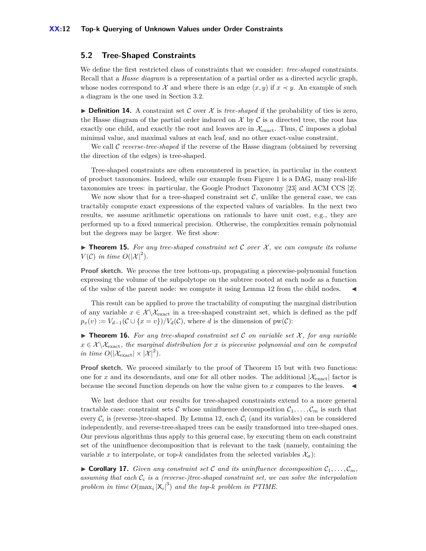#### **5.2 Tree-Shaped Constraints**

We define the first restricted class of constraints that we consider: *tree-shaped* constraints. Recall that a *Hasse diagram* is a representation of a partial order as a directed acyclic graph, whose nodes correspond to X and where there is an edge  $(x, y)$  if  $x \prec y$ . An example of such a diagram is the one used in Section [3.2.](#page-6-1)

**Definition 14.** A constraint set C over  $\mathcal{X}$  is *tree-shaped* if the probability of ties is zero, the Hasse diagram of the partial order induced on  $\mathcal X$  by  $\mathcal C$  is a directed tree, the root has exactly one child, and exactly the root and leaves are in  $\mathcal{X}_{\text{exact}}$ . Thus,  $\mathcal C$  imposes a global minimal value, and maximal values at each leaf, and no other exact-value constraint.

We call C *reverse-tree-shaped* if the reverse of the Hasse diagram (obtained by reversing the direction of the edges) is tree-shaped.

Tree-shaped constraints are often encountered in practice, in particular in the context of product taxonomies. Indeed, while our example from Figure [1](#page-1-0) is a DAG, many real-life taxonomies are trees: in particular, the Google Product Taxonomy [\[23\]](#page-16-16) and ACM CCS [\[2\]](#page-15-7).

We now show that for a tree-shaped constraint set  $C$ , unlike the general case, we can tractably compute exact expressions of the expected values of variables. In the next two results, we assume arithmetic operations on rationals to have unit cost, e.g., they are performed up to a fixed numerical precision. Otherwise, the complexities remain polynomial but the degrees may be larger. We first show:

<span id="page-11-0"></span>**Integral 15.** For any tree-shaped constraint set C over  $\mathcal{X}$ , we can compute its volume  $V(\mathcal{C})$  *in time*  $O(|\mathcal{X}|^2)$ *.* 

**Proof sketch.** We process the tree bottom-up, propagating a piecewise-polynomial function expressing the volume of the subpolytope on the subtree rooted at each node as a function of the value of the parent node: we compute it using Lemma [12](#page-10-1) from the child nodes. J

This result can be applied to prove the tractability of computing the marginal distribution of any variable  $x \in \mathcal{X} \backslash \mathcal{X}_{\text{exact}}$  in a tree-shaped constraint set, which is defined as the pdf  $p_x(v) := V_{d-1}(\mathcal{C} \cup \{x = v\})/V_d(\mathcal{C})$ , where *d* is the dimension of pw( $\mathcal{C}$ ):

**Find 16.** For any tree-shaped constraint set C on variable set X, for any variable  $x \in \mathcal{X} \setminus \mathcal{X}_{\text{exact}}$ , the marginal distribution for *x* is piecewise polynomial and can be computed *in time*  $O(|\mathcal{X}_{\text{exact}}| \times |\mathcal{X}|^2)$ *.* 

**Proof sketch.** We proceed similarly to the proof of Theorem [15](#page-11-0) but with two functions: one for x and its descendants, and one for all other nodes. The additional  $|\mathcal{X}_{\text{exact}}|$  factor is because the second function depends on how the value given to  $x$  compares to the leaves.  $\blacktriangleleft$ 

We last deduce that our results for tree-shaped constraints extend to a more general tractable case: constraint sets C whose uninfluence decomposition  $C_1, \ldots, C_m$  is such that every  $\mathcal{C}_i$  is (reverse-)tree-shaped. By Lemma [12,](#page-10-1) each  $\mathcal{C}_i$  (and its variables) can be considered independently, and reverse-tree-shaped trees can be easily transformed into tree-shaped ones. Our previous algorithms thus apply to this general case, by executing them on each constraint set of the uninfluence decomposition that is relevant to the task (namely, containing the variable *x* to interpolate, or top-*k* candidates from the selected variables  $\mathcal{X}_{\sigma}$ ):

 $\triangleright$  **Corollary 17.** *Given any constraint set* C *and its uninfluence decomposition*  $C_1, \ldots, C_m$ *, assuming that each* C*<sup>i</sup> is a (reverse-)tree-shaped constraint set, we can solve the interpolation problem in time*  $O(max_i |X_i|^3)$  *and the top-k problem in PTIME.*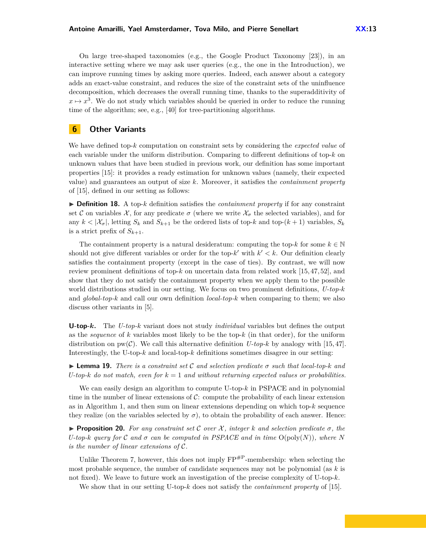On large tree-shaped taxonomies (e.g., the Google Product Taxonomy [\[23\]](#page-16-16)), in an interactive setting where we may ask user queries (e.g., the one in the Introduction), we can improve running times by asking more queries. Indeed, each answer about a category adds an exact-value constraint, and reduces the size of the constraint sets of the uninfluence decomposition, which decreases the overall running time, thanks to the superadditivity of  $x \mapsto x^3$ . We do not study which variables should be queried in order to reduce the running time of the algorithm; see, e.g., [\[40\]](#page-16-1) for tree-partitioning algorithms.

## <span id="page-12-0"></span>**6 Other Variants**

We have defined top-*k* computation on constraint sets by considering the *expected value* of each variable under the uniform distribution. Comparing to different definitions of top-*k* on unknown values that have been studied in previous work, our definition has some important properties [\[15\]](#page-15-4): it provides a ready estimation for unknown values (namely, their expected value) and guarantees an output of size *k*. Moreover, it satisfies the *containment property* of [\[15\]](#page-15-4), defined in our setting as follows:

 $\triangleright$  **Definition 18.** A top-*k* definition satisfies the *containment property* if for any constraint set C on variables  $\mathcal{X}$ , for any predicate  $\sigma$  (where we write  $\mathcal{X}_{\sigma}$  the selected variables), and for any  $k < |\mathcal{X}_{\sigma}|$ , letting  $S_k$  and  $S_{k+1}$  be the ordered lists of top-*k* and top- $(k+1)$  variables,  $S_k$ is a strict prefix of  $S_{k+1}$ .

The containment property is a natural desideratum: computing the top- $k$  for some  $k \in \mathbb{N}$ should not give different variables or order for the top- $k'$  with  $k' < k$ . Our definition clearly satisfies the containment property (except in the case of ties). By contrast, we will now review prominent definitions of top-*k* on uncertain data from related work [\[15,](#page-15-4) [47,](#page-17-4) [52\]](#page-17-5), and show that they do not satisfy the containment property when we apply them to the possible world distributions studied in our setting. We focus on two prominent definitions, *U-top-k* and *global-top-k* and call our own definition *local-top-k* when comparing to them; we also discuss other variants in [\[5\]](#page-15-5).

**U-top-***k***.** The *U-top-k* variant does not study *individual* variables but defines the output as the *sequence* of *k* variables most likely to be the top-*k* (in that order), for the uniform distribution on  $pw(C)$ . We call this alternative definition *U-top-k* by analogy with [\[15,](#page-15-4) [47\]](#page-17-4). Interestingly, the U-top-*k* and local-top-*k* definitions sometimes disagree in our setting:

**I Lemma 19.** *There is a constraint set* C *and selection predicate*  $\sigma$  *such that local-top-k and U-top-k do not match, even for*  $k = 1$  *and without returning expected values or probabilities.* 

We can easily design an algorithm to compute U-top-*k* in PSPACE and in polynomial time in the number of linear extensions of  $C$ : compute the probability of each linear extension as in Algorithm [1,](#page-7-1) and then sum on linear extensions depending on which top-*k* sequence they realize (on the variables selected by  $\sigma$ ), to obtain the probability of each answer. Hence:

**Proposition 20.** For any constraint set C over  $\mathcal{X}$ , integer  $k$  and selection predicate  $\sigma$ , the *U-top-k query for* C and  $\sigma$  can be computed in PSPACE and in time  $O(\text{poly}(N))$ , where N *is the number of linear extensions of* C*.*

Unlike Theorem [7,](#page-8-2) however, this does not imply  $FP^{HP}$ -membership: when selecting the most probable sequence, the number of candidate sequences may not be polynomial (as *k* is not fixed). We leave to future work an investigation of the precise complexity of U-top-*k*.

We show that in our setting U-top-*k* does not satisfy the *containment property* of [\[15\]](#page-15-4).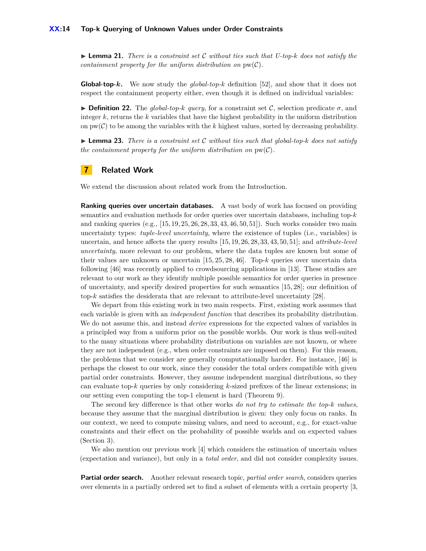#### **XX:14 Top-k Querying of Unknown Values under Order Constraints**

 $\blacktriangleright$  **Lemma 21.** *There is a constraint set* C *without ties such that U-top-k does not satisfy the containment property for the uniform distribution on*  $pw(\mathcal{C})$ *.* 

**Global-top-***k***.** We now study the *global-top-k* definition [\[52\]](#page-17-5), and show that it does not respect the containment property either, even though it is defined on individual variables:

**Definition 22.** The *global-top-k guery*, for a constraint set C, selection predicate  $\sigma$ , and integer *k*, returns the *k* variables that have the highest probability in the uniform distribution on  $pw(\mathcal{C})$  to be among the variables with the *k* highest values, sorted by decreasing probability.

**I Lemma 23.** There is a constraint set C without ties such that global-top- $k$  does not satisfy *the containment property for the uniform distribution on*  $pw(\mathcal{C})$ *.* 

## <span id="page-13-0"></span>**7 Related Work**

We extend the discussion about related work from the Introduction.

**Ranking queries over uncertain databases.** A vast body of work has focused on providing semantics and evaluation methods for order queries over uncertain databases, including top-*k* and ranking queries (e.g.,  $[15, 19, 25, 26, 28, 33, 43, 46, 50, 51]$  $[15, 19, 25, 26, 28, 33, 43, 46, 50, 51]$  $[15, 19, 25, 26, 28, 33, 43, 46, 50, 51]$  $[15, 19, 25, 26, 28, 33, 43, 46, 50, 51]$  $[15, 19, 25, 26, 28, 33, 43, 46, 50, 51]$  $[15, 19, 25, 26, 28, 33, 43, 46, 50, 51]$  $[15, 19, 25, 26, 28, 33, 43, 46, 50, 51]$  $[15, 19, 25, 26, 28, 33, 43, 46, 50, 51]$  $[15, 19, 25, 26, 28, 33, 43, 46, 50, 51]$  $[15, 19, 25, 26, 28, 33, 43, 46, 50, 51]$ ). Such works consider two main uncertainty types: *tuple-level uncertainty*, where the existence of tuples (i.e., variables) is uncertain, and hence affects the query results [\[15,](#page-15-4) [19,](#page-16-17) [26,](#page-16-18) [28,](#page-16-6) [33,](#page-16-19) [43,](#page-16-20) [50,](#page-17-6) [51\]](#page-17-7); and *attribute-level uncertainty*, more relevant to our problem, where the data tuples are known but some of their values are unknown or uncertain [\[15,](#page-15-4) [25,](#page-16-2) [28,](#page-16-6) [46\]](#page-17-1). Top-*k* queries over uncertain data following [\[46\]](#page-17-1) was recently applied to crowdsourcing applications in [\[13\]](#page-15-8). These studies are relevant to our work as they identify multiple possible semantics for order queries in presence of uncertainty, and specify desired properties for such semantics [\[15,](#page-15-4) [28\]](#page-16-6); our definition of top-*k* satisfies the desiderata that are relevant to attribute-level uncertainty [\[28\]](#page-16-6).

We depart from this existing work in two main respects. First, existing work assumes that each variable is given with an *independent function* that describes its probability distribution. We do not assume this, and instead *derive* expressions for the expected values of variables in a principled way from a uniform prior on the possible worlds. Our work is thus well-suited to the many situations where probability distributions on variables are not known, or where they are not independent (e.g., when order constraints are imposed on them). For this reason, the problems that we consider are generally computationally harder. For instance, [\[46\]](#page-17-1) is perhaps the closest to our work, since they consider the total orders compatible with given partial order constraints. However, they assume independent marginal distributions, so they can evaluate top-*k* queries by only considering *k*-sized prefixes of the linear extensions; in our setting even computing the top-1 element is hard (Theorem [9\)](#page-9-2).

The second key difference is that other works *do not try to estimate the top-k values*, because they assume that the marginal distribution is given: they only focus on ranks. In our context, we need to compute missing values, and need to account, e.g., for exact-value constraints and their effect on the probability of possible worlds and on expected values (Section [3\)](#page-5-0).

We also mention our previous work [\[4\]](#page-15-9) which considers the estimation of uncertain values (expectation and variance), but only in a *total order*, and did not consider complexity issues.

**Partial order search.** Another relevant research topic, *partial order search*, considers queries over elements in a partially ordered set to find a subset of elements with a certain property [\[3,](#page-15-3)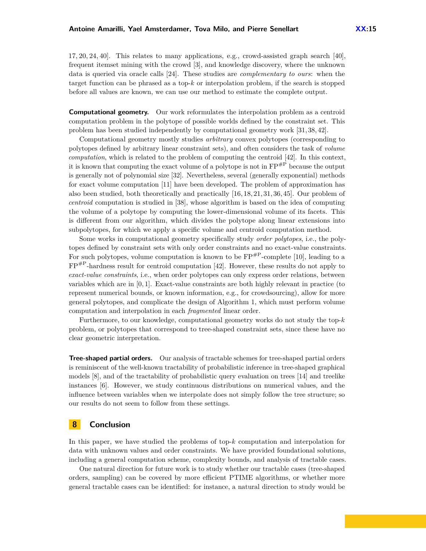[17,](#page-16-21) [20,](#page-16-22) [24,](#page-16-23) [40\]](#page-16-1). This relates to many applications, e.g., crowd-assisted graph search [\[40\]](#page-16-1), frequent itemset mining with the crowd [\[3\]](#page-15-3), and knowledge discovery, where the unknown data is queried via oracle calls [\[24\]](#page-16-23). These studies are *complementary to ours*: when the target function can be phrased as a top-*k* or interpolation problem, if the search is stopped

**Computational geometry.** Our work reformulates the interpolation problem as a centroid computation problem in the polytope of possible worlds defined by the constraint set. This problem has been studied independently by computational geometry work [\[31,](#page-16-12) [38,](#page-16-24) [42\]](#page-16-5).

before all values are known, we can use our method to estimate the complete output.

Computational geometry mostly studies *arbitrary* convex polytopes (corresponding to polytopes defined by arbitrary linear constraint sets), and often considers the task of *volume computation*, which is related to the problem of computing the centroid [\[42\]](#page-16-5). In this context, it is known that computing the exact volume of a polytope is not in  $\text{FP}^{\#P}$  because the output is generally not of polynomial size [\[32\]](#page-16-4). Nevertheless, several (generally exponential) methods for exact volume computation [\[11\]](#page-15-10) have been developed. The problem of approximation has also been studied, both theoretically and practically [\[16,](#page-15-11) [18,](#page-16-25) [21,](#page-16-14) [31,](#page-16-12) [36,](#page-16-15) [45\]](#page-17-8). Our problem of *centroid* computation is studied in [\[38\]](#page-16-24), whose algorithm is based on the idea of computing the volume of a polytope by computing the lower-dimensional volume of its facets. This is different from our algorithm, which divides the polytope along linear extensions into subpolytopes, for which we apply a specific volume and centroid computation method.

Some works in computational geometry specifically study *order polytopes*, i.e., the polytopes defined by constraint sets with only order constraints and no exact-value constraints. For such polytopes, volume computation is known to be  $FP^{\#P}$ -complete [\[10\]](#page-15-12), leading to a  $FP^{HP}$ -hardness result for centroid computation [\[42\]](#page-16-5). However, these results do not apply to *exact-value constraints*, i.e., when order polytopes can only express order relations, between variables which are in [0*,* 1]. Exact-value constraints are both highly relevant in practice (to represent numerical bounds, or known information, e.g., for crowdsourcing), allow for more general polytopes, and complicate the design of Algorithm 1, which must perform volume computation and interpolation in each *fragmented* linear order.

Furthermore, to our knowledge, computational geometry works do not study the top-*k* problem, or polytopes that correspond to tree-shaped constraint sets, since these have no clear geometric interpretation.

**Tree-shaped partial orders.** Our analysis of tractable schemes for tree-shaped partial orders is reminiscent of the well-known tractability of probabilistic inference in tree-shaped graphical models [\[8\]](#page-15-13), and of the tractability of probabilistic query evaluation on trees [\[14\]](#page-15-14) and treelike instances [\[6\]](#page-15-15). However, we study continuous distributions on numerical values, and the influence between variables when we interpolate does not simply follow the tree structure; so our results do not seem to follow from these settings.

# <span id="page-14-0"></span>**8 Conclusion**

In this paper, we have studied the problems of top-*k* computation and interpolation for data with unknown values and order constraints. We have provided foundational solutions, including a general computation scheme, complexity bounds, and analysis of tractable cases.

One natural direction for future work is to study whether our tractable cases (tree-shaped orders, sampling) can be covered by more efficient PTIME algorithms, or whether more general tractable cases can be identified: for instance, a natural direction to study would be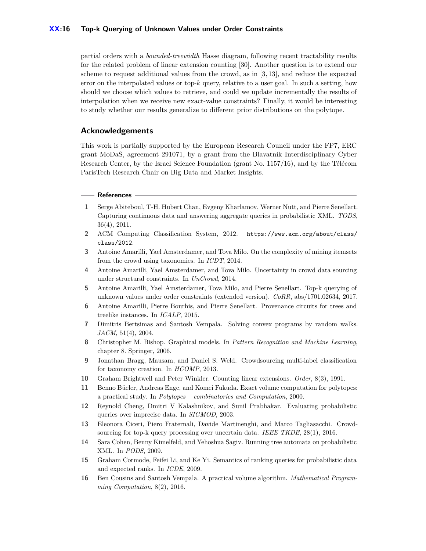#### **XX:16 Top-k Querying of Unknown Values under Order Constraints**

partial orders with a *bounded-treewidth* Hasse diagram, following recent tractability results for the related problem of linear extension counting [\[30\]](#page-16-26). Another question is to extend our scheme to request additional values from the crowd, as in [\[3,](#page-15-3) [13\]](#page-15-8), and reduce the expected error on the interpolated values or top-*k* query, relative to a user goal. In such a setting, how should we choose which values to retrieve, and could we update incrementally the results of interpolation when we receive new exact-value constraints? Finally, it would be interesting to study whether our results generalize to different prior distributions on the polytope.

#### **Acknowledgements**

This work is partially supported by the European Research Council under the FP7, ERC grant MoDaS, agreement 291071, by a grant from the Blavatnik Interdisciplinary Cyber Research Center, by the Israel Science Foundation (grant No. 1157/16), and by the Télécom ParisTech Research Chair on Big Data and Market Insights.

#### - References -

- <span id="page-15-0"></span>**1** Serge Abiteboul, T-H. Hubert Chan, Evgeny Kharlamov, Werner Nutt, and Pierre Senellart. Capturing continuous data and answering aggregate queries in probabilistic XML. *TODS*, 36(4), 2011.
- <span id="page-15-7"></span>**2** ACM Computing Classification System, 2012. [https://www.acm.org/about/class/](https://www.acm.org/about/class/class/2012) [class/2012](https://www.acm.org/about/class/class/2012).
- <span id="page-15-3"></span>**3** Antoine Amarilli, Yael Amsterdamer, and Tova Milo. On the complexity of mining itemsets from the crowd using taxonomies. In *ICDT*, 2014.
- <span id="page-15-9"></span>**4** Antoine Amarilli, Yael Amsterdamer, and Tova Milo. Uncertainty in crowd data sourcing under structural constraints. In *UnCrowd*, 2014.
- <span id="page-15-5"></span>**5** Antoine Amarilli, Yael Amsterdamer, Tova Milo, and Pierre Senellart. Top-k querying of unknown values under order constraints (extended version). *CoRR*, abs/1701.02634, 2017.
- <span id="page-15-15"></span>**6** Antoine Amarilli, Pierre Bourhis, and Pierre Senellart. Provenance circuits for trees and treelike instances. In *ICALP*, 2015.
- <span id="page-15-6"></span>**7** Dimitris Bertsimas and Santosh Vempala. Solving convex programs by random walks. *JACM*, 51(4), 2004.
- <span id="page-15-13"></span>**8** Christopher M. Bishop. Graphical models. In *Pattern Recognition and Machine Learning*, chapter 8. Springer, 2006.
- <span id="page-15-2"></span>**9** Jonathan Bragg, Mausam, and Daniel S. Weld. Crowdsourcing multi-label classification for taxonomy creation. In *HCOMP*, 2013.
- <span id="page-15-12"></span>**10** Graham Brightwell and Peter Winkler. Counting linear extensions. *Order*, 8(3), 1991.
- <span id="page-15-10"></span>**11** Benno Büeler, Andreas Enge, and Komei Fukuda. Exact volume computation for polytopes: a practical study. In *Polytopes – combinatorics and Computation*, 2000.
- <span id="page-15-1"></span>**12** Reynold Cheng, Dmitri V Kalashnikov, and Sunil Prabhakar. Evaluating probabilistic queries over imprecise data. In *SIGMOD*, 2003.
- <span id="page-15-8"></span>**13** Eleonora Ciceri, Piero Fraternali, Davide Martinenghi, and Marco Tagliasacchi. Crowdsourcing for top-k query processing over uncertain data. *IEEE TKDE*, 28(1), 2016.
- <span id="page-15-14"></span>**14** Sara Cohen, Benny Kimelfeld, and Yehoshua Sagiv. Running tree automata on probabilistic XML. In *PODS*, 2009.
- <span id="page-15-4"></span>**15** Graham Cormode, Feifei Li, and Ke Yi. Semantics of ranking queries for probabilistic data and expected ranks. In *ICDE*, 2009.
- <span id="page-15-11"></span>**16** Ben Cousins and Santosh Vempala. A practical volume algorithm. *Mathematical Programming Computation*, 8(2), 2016.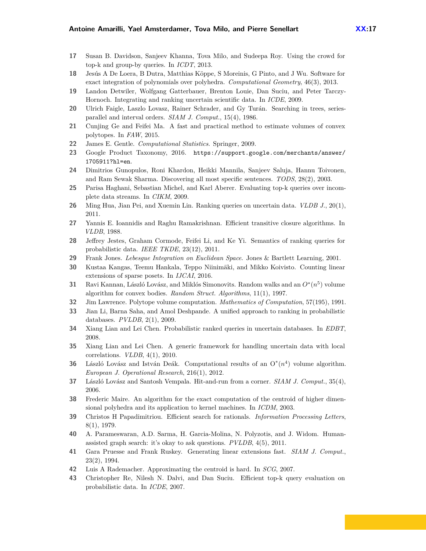- <span id="page-16-21"></span>**17** Susan B. Davidson, Sanjeev Khanna, Tova Milo, and Sudeepa Roy. Using the crowd for top-k and group-by queries. In *ICDT*, 2013.
- <span id="page-16-25"></span>**18** Jesús A De Loera, B Dutra, Matthias Köppe, S Moreinis, G Pinto, and J Wu. Software for exact integration of polynomials over polyhedra. *Computational Geometry*, 46(3), 2013.
- <span id="page-16-17"></span>**19** Landon Detwiler, Wolfgang Gatterbauer, Brenton Louie, Dan Suciu, and Peter Tarczy-Hornoch. Integrating and ranking uncertain scientific data. In *ICDE*, 2009.
- <span id="page-16-22"></span>**20** Ulrich Faigle, Laszlo Lovasz, Rainer Schrader, and Gy Turán. Searching in trees, seriesparallel and interval orders. *SIAM J. Comput.*, 15(4), 1986.
- <span id="page-16-14"></span>**21** Cunjing Ge and Feifei Ma. A fast and practical method to estimate volumes of convex polytopes. In *FAW*, 2015.
- <span id="page-16-9"></span>**22** James E. Gentle. *Computational Statistics*. Springer, 2009.
- <span id="page-16-16"></span>**23** Google Product Taxonomy, 2016. [https://support.google.com/merchants/answer/](https://support.google.com/merchants/answer/1705911?hl=en) [1705911?hl=en](https://support.google.com/merchants/answer/1705911?hl=en).
- <span id="page-16-23"></span>**24** Dimitrios Gunopulos, Roni Khardon, Heikki Mannila, Sanjeev Saluja, Hannu Toivonen, and Ram Sewak Sharma. Discovering all most specific sentences. *TODS*, 28(2), 2003.
- <span id="page-16-2"></span>**25** Parisa Haghani, Sebastian Michel, and Karl Aberer. Evaluating top-k queries over incomplete data streams. In *CIKM*, 2009.
- <span id="page-16-18"></span>**26** Ming Hua, Jian Pei, and Xuemin Lin. Ranking queries on uncertain data. *VLDB J.*, 20(1), 2011.
- <span id="page-16-7"></span>**27** Yannis E. Ioannidis and Raghu Ramakrishnan. Efficient transitive closure algorithms. In *VLDB*, 1988.
- <span id="page-16-6"></span>**28** Jeffrey Jestes, Graham Cormode, Feifei Li, and Ke Yi. Semantics of ranking queries for probabilistic data. *IEEE TKDE*, 23(12), 2011.
- <span id="page-16-8"></span>**29** Frank Jones. *Lebesgue Integration on Euclidean Space*. Jones & Bartlett Learning, 2001.
- <span id="page-16-26"></span>**30** Kustaa Kangas, Teemu Hankala, Teppo Niinimäki, and Mikko Koivisto. Counting linear extensions of sparse posets. In *IJCAI*, 2016.
- <span id="page-16-12"></span>**31** Ravi Kannan, László Lovász, and Miklós Simonovits. Random walks and an  $O^*(n^5)$  volume algorithm for convex bodies. *Random Struct. Algorithms*, 11(1), 1997.
- <span id="page-16-4"></span>**32** Jim Lawrence. Polytope volume computation. *Mathematics of Computation*, 57(195), 1991.
- <span id="page-16-19"></span>**33** Jian Li, Barna Saha, and Amol Deshpande. A unified approach to ranking in probabilistic databases. *PVLDB*, 2(1), 2009.
- <span id="page-16-0"></span>**34** Xiang Lian and Lei Chen. Probabilistic ranked queries in uncertain databases. In *EDBT*, 2008.
- <span id="page-16-3"></span>**35** Xiang Lian and Lei Chen. A generic framework for handling uncertain data with local correlations. *VLDB*, 4(1), 2010.
- <span id="page-16-15"></span>**36** László Lovász and István Deák. Computational results of an  $O^*(n^4)$  volume algorithm. *European J. Operational Research*, 216(1), 2012.
- <span id="page-16-13"></span>**37** László Lovász and Santosh Vempala. Hit-and-run from a corner. *SIAM J. Comput.*, 35(4), 2006.
- <span id="page-16-24"></span>**38** Frederic Maire. An algorithm for the exact computation of the centroid of higher dimensional polyhedra and its application to kernel machines. In *ICDM*, 2003.
- <span id="page-16-11"></span>**39** Christos H Papadimitriou. Efficient search for rationals. *Information Processing Letters*, 8(1), 1979.
- <span id="page-16-1"></span>**40** A. Parameswaran, A.D. Sarma, H. Garcia-Molina, N. Polyzotis, and J. Widom. Humanassisted graph search: it's okay to ask questions. *PVLDB*, 4(5), 2011.
- <span id="page-16-10"></span>**41** Gara Pruesse and Frank Ruskey. Generating linear extensions fast. *SIAM J. Comput.*, 23(2), 1994.
- <span id="page-16-5"></span>**42** Luis A Rademacher. Approximating the centroid is hard. In *SCG*, 2007.
- <span id="page-16-20"></span>**43** Christopher Re, Nilesh N. Dalvi, and Dan Suciu. Efficient top-k query evaluation on probabilistic data. In *ICDE*, 2007.